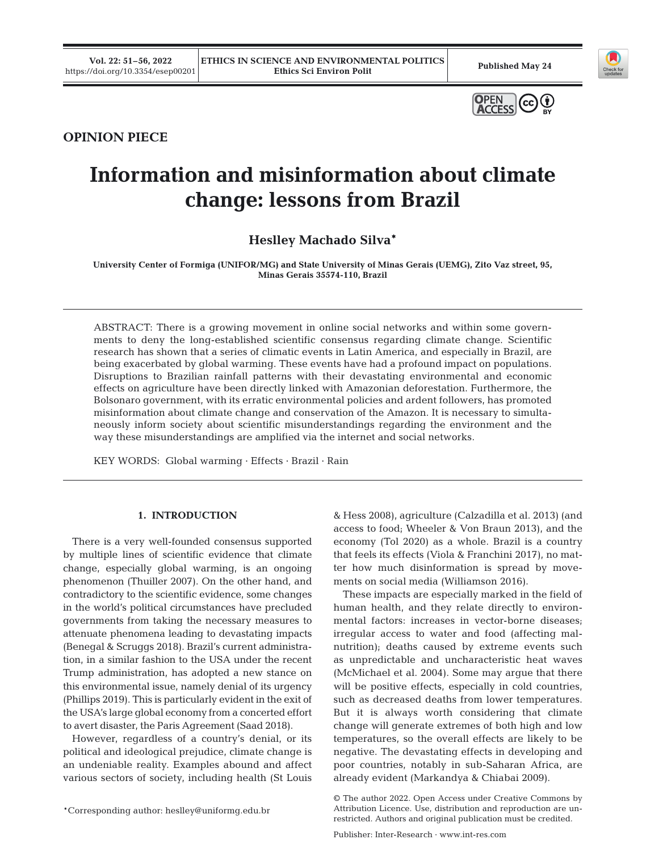**Vol. 22: 51–56, 2022** 





## **OPINION PIECE**

# **Information and misinformation about climate change: lessons from Brazil**

**Heslley Machado Silva\***

**University Center of Formiga (UNIFOR/MG) and State University of Minas Gerais (UEMG), Zito Vaz street, 95, Minas Gerais 35574-110, Brazil**

ABSTRACT: There is a growing movement in online social networks and within some governments to deny the long-established scientific consensus regarding climate change. Scientific research has shown that a series of climatic events in Latin America, and especially in Brazil, are being exacerbated by global warming. These events have had a profound impact on populations. Disruptions to Brazilian rainfall patterns with their devastating environmental and economic effects on agriculture have been directly linked with Amazonian deforestation. Furthermore, the Bolsonaro government, with its erratic environmental policies and ardent followers, has promoted misinformation about climate change and conservation of the Amazon. It is necessary to simultaneously inform society about scientific misunderstandings regarding the environment and the way these misunderstandings are amplified via the internet and social networks.

KEY WORDS: Global warming · Effects · Brazil · Rain

## **1. INTRODUCTION**

There is a very well-founded consensus supported by multiple lines of scientific evidence that climate change, especially global warming, is an ongoing phenomenon (Thuiller 2007). On the other hand, and contradictory to the scientific evidence, some changes in the world's political circumstances have precluded governments from taking the necessary measures to attenuate phenomena leading to devastating impacts (Benegal & Scruggs 2018). Brazil's current administration, in a similar fashion to the USA under the recent Trump administration, has adopted a new stance on this environmental issue, namely denial of its urgency (Phillips 2019). This is particularly evident in the exit of the USA's large global economy from a concerted effort to avert disaster, the Paris Agreement (Saad 2018).

However, regardless of a country's denial, or its political and ideological prejudice, climate change is an undeniable reality. Examples abound and affect various sectors of society, including health (St Louis

& Hess 2008), agriculture (Calzadilla et al. 2013) (and access to food; Wheeler & Von Braun 2013), and the economy (Tol 2020) as a whole. Brazil is a country that feels its effects (Viola & Franchini 2017), no matter how much disinformation is spread by movements on social media (Williamson 2016).

These impacts are especially marked in the field of human health, and they relate directly to environmental factors: increases in vector-borne diseases; irregular access to water and food (affecting malnutrition); deaths caused by extreme events such as unpredictable and uncharacteristic heat waves (McMichael et al. 2004). Some may argue that there will be positive effects, especially in cold countries, such as decreased deaths from lower temperatures. But it is always worth considering that climate change will generate extremes of both high and low temperatures, so the overall effects are likely to be negative. The devastating effects in developing and poor countries, notably in sub-Saharan Africa, are already evident (Markandya & Chiabai 2009).

<sup>\*</sup>Corresponding author: heslley@uniformg.edu.br

<sup>©</sup> The author 2022. Open Access under Creative Commons by Attribution Licence. Use, distribution and reproduction are unrestricted. Authors and original publication must be credited.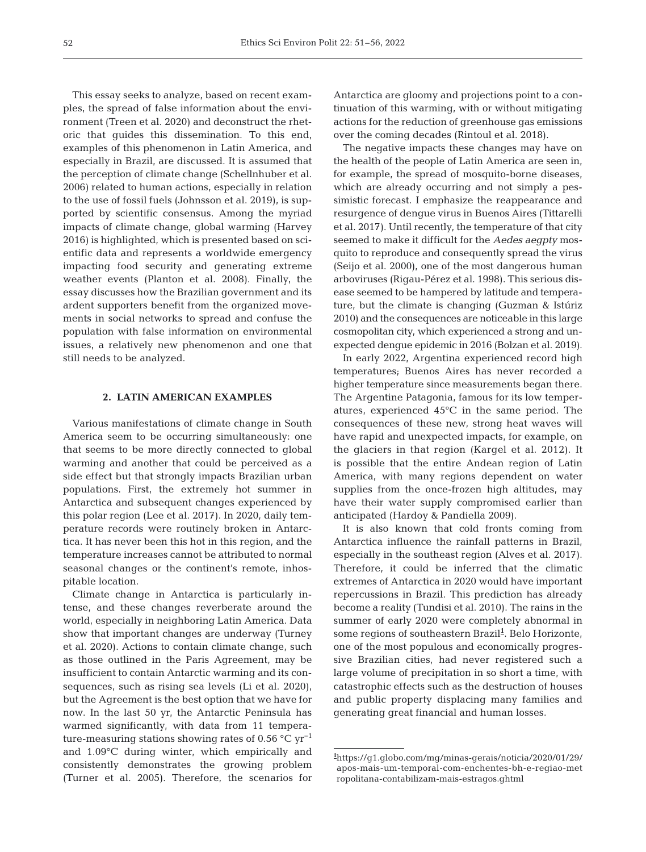This essay seeks to analyze, based on recent examples, the spread of false information about the environment (Treen et al. 2020) and deconstruct the rhetoric that guides this dissemination. To this end, examples of this phenomenon in Latin America, and especially in Brazil, are discussed. It is assumed that the perception of climate change (Schellnhuber et al. 2006) related to human actions, especially in relation to the use of fossil fuels (Johnsson et al. 2019), is supported by scientific consensus. Among the myriad impacts of climate change, global warming (Harvey 2016) is highlighted, which is presented based on scientific data and represents a worldwide emergency impacting food security and generating extreme weather events (Planton et al. 2008). Finally, the essay discusses how the Brazilian government and its ardent supporters benefit from the organized movements in social networks to spread and confuse the population with false information on environmental issues, a relatively new phenomenon and one that still needs to be analyzed.

#### **2. LATIN AMERICAN EXAMPLES**

Various manifestations of climate change in South America seem to be occurring simultaneously: one that seems to be more directly connected to global warming and another that could be perceived as a side effect but that strongly impacts Brazilian urban populations. First, the extremely hot summer in Antarctica and subsequent changes experienced by this polar region (Lee et al. 2017). In 2020, daily temperature records were routinely broken in Antarctica. It has never been this hot in this region, and the temperature increases cannot be attributed to normal seasonal changes or the continent's remote, inhospitable location.

Climate change in Antarctica is particularly intense, and these changes reverberate around the world, especially in neighboring Latin America. Data show that important changes are underway (Turney et al. 2020). Actions to contain climate change, such as those outlined in the Paris Agreement, may be insufficient to contain Antarctic warming and its consequences, such as rising sea levels (Li et al. 2020), but the Agreement is the best option that we have for now. In the last 50 yr, the Antarctic Peninsula has warmed significantly, with data from 11 temperature-measuring stations showing rates of 0.56  $^{\circ}$ C yr<sup>-1</sup> and 1.09°C during winter, which empirically and consistently demonstrates the growing problem (Turner et al. 2005). Therefore, the scenarios for Antarctica are gloomy and projections point to a continuation of this warming, with or without mitigating actions for the reduction of greenhouse gas emissions over the coming decades (Rintoul et al. 2018).

The negative impacts these changes may have on the health of the people of Latin America are seen in, for example, the spread of mosquito-borne diseases, which are already occurring and not simply a pessimistic forecast. I emphasize the reappearance and resurgence of dengue virus in Buenos Aires (Tittarelli et al. 2017). Until recently, the temperature of that city seemed to make it difficult for the *Aedes aegpty* mosquito to reproduce and consequently spread the virus (Seijo et al. 2000), one of the most dangerous human arboviruses (Rigau-Pérez et al. 1998). This serious disease seemed to be hampered by latitude and temperature, but the climate is changing (Guzman & Istúriz 2010) and the consequences are noticeable in this large cosmopolitan city, which experienced a strong and unexpected dengue epidemic in 2016 (Bolzan et al. 2019).

In early 2022, Argentina experienced record high temperatures; Buenos Aires has never recorded a higher temperature since measurements began there. The Argentine Patagonia, famous for its low temperatures, experienced 45°C in the same period. The consequences of these new, strong heat waves will have rapid and unexpected impacts, for example, on the glaciers in that region (Kargel et al. 2012). It is possible that the entire Andean region of Latin America, with many regions dependent on water supplies from the once-frozen high altitudes, may have their water supply compromised earlier than anticipated (Hardoy & Pandiella 2009).

It is also known that cold fronts coming from Antarctica influence the rainfall patterns in Brazil, especially in the southeast region (Alves et al. 2017). Therefore, it could be inferred that the climatic extremes of Antarctica in 2020 would have important repercussions in Brazil. This prediction has already become a reality (Tundisi et al. 2010). The rains in the summer of early 2020 were completely abnormal in some regions of southeastern Brazil<sup>1</sup>. Belo Horizonte, one of the most populous and economically progressive Brazilian cities, had never registered such a large volume of precipitation in so short a time, with catastrophic effects such as the destruction of houses and public property displacing many families and generating great financial and human losses.

**<sup>1</sup>** https://g1.globo.com/mg/minas-gerais/noticia/2020/01/29/ apos-mais-um-temporal-com-enchentes-bh-e-regiao-met ropolitana-contabilizam-mais-estragos.ghtml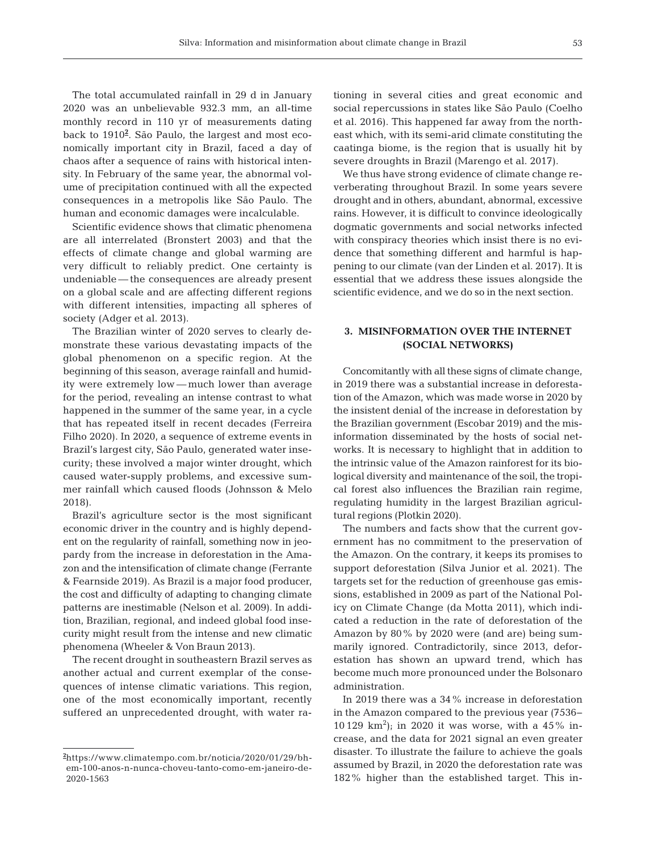The total accumulated rainfall in 29 d in January 2020 was an unbelievable 932.3 mm, an all-time monthly record in 110 yr of measurements dating back to 1910**<sup>2</sup>** . São Paulo, the largest and most economically important city in Brazil, faced a day of chaos after a sequence of rains with historical intensity. In February of the same year, the abnormal volume of precipitation continued with all the expected consequences in a metropolis like São Paulo. The human and economic damages were incalculable.

Scientific evidence shows that climatic phenomena are all interrelated (Bronstert 2003) and that the effects of climate change and global warming are very difficult to reliably predict. One certainty is undeniable — the consequences are already present on a global scale and are affecting different regions with different intensities, impacting all spheres of society (Adger et al. 2013).

The Brazilian winter of 2020 serves to clearly demonstrate these various devastating impacts of the global phenomenon on a specific region. At the beginning of this season, average rainfall and humidity were extremely low — much lower than average for the period, revealing an intense contrast to what happened in the summer of the same year, in a cycle that has repeated itself in recent decades (Ferreira Filho 2020). In 2020, a sequence of extreme events in Brazil's largest city, São Paulo, generated water insecurity; these involved a major winter drought, which caused water-supply problems, and excessive summer rainfall which caused floods (Johnsson & Melo 2018).

Brazil's agriculture sector is the most significant economic driver in the country and is highly dependent on the regularity of rainfall, something now in jeopardy from the increase in deforestation in the Amazon and the intensification of climate change (Ferrante & Fearnside 2019). As Brazil is a major food producer, the cost and difficulty of adapting to changing climate patterns are inestimable (Nelson et al. 2009). In addition, Brazilian, regional, and indeed global food insecurity might result from the intense and new climatic phenomena (Wheeler & Von Braun 2013).

The recent drought in southeastern Brazil serves as another actual and current exemplar of the consequences of intense climatic variations. This region, one of the most economically important, recently suffered an unprecedented drought, with water rationing in several cities and great economic and social repercussions in states like São Paulo (Coelho et al. 2016). This happened far away from the northeast which, with its semi-arid climate constituting the caatinga biome, is the region that is usually hit by severe droughts in Brazil (Marengo et al. 2017).

We thus have strong evidence of climate change reverberating throughout Brazil. In some years severe drought and in others, abundant, abnormal, excessive rains. However, it is difficult to convince ideologically dogmatic governments and social networks infected with conspiracy theories which insist there is no evidence that something different and harmful is happening to our climate (van der Linden et al. 2017). It is essential that we address these issues alongside the scientific evidence, and we do so in the next section.

## **3. MISINFORMATION OVER THE INTERNET (SOCIAL NETWORKS)**

Concomitantly with all these signs of climate change, in 2019 there was a substantial increase in deforestation of the Amazon, which was made worse in 2020 by the insistent denial of the increase in deforestation by the Brazilian government (Escobar 2019) and the misinformation disseminated by the hosts of social networks. It is necessary to highlight that in addition to the intrinsic value of the Amazon rainforest for its biological diversity and maintenance of the soil, the tropical forest also influences the Brazilian rain regime, regulating humidity in the largest Brazilian agricultural regions (Plotkin 2020).

The numbers and facts show that the current government has no commitment to the preservation of the Amazon. On the contrary, it keeps its promises to support deforestation (Silva Junior et al. 2021). The targets set for the reduction of greenhouse gas emissions, established in 2009 as part of the National Policy on Climate Change (da Motta 2011), which indicated a reduction in the rate of deforestation of the Amazon by 80% by 2020 were (and are) being summarily ignored. Contradictorily, since 2013, deforestation has shown an upward trend, which has become much more pronounced under the Bolsonaro administration.

In 2019 there was a 34% increase in deforestation in the Amazon compared to the previous year (7536− 10 129  $\rm km^2$ ); in 2020 it was worse, with a 45% increase, and the data for 2021 signal an even greater disaster. To illustrate the failure to achieve the goals assumed by Brazil, in 2020 the deforestation rate was 182% higher than the established target. This in-

**<sup>2</sup>** https://www.climatempo.com.br/noticia/2020/01/29/bhem-100-anos-n-nunca-choveu-tanto-como-em-janeiro-de-2020-1563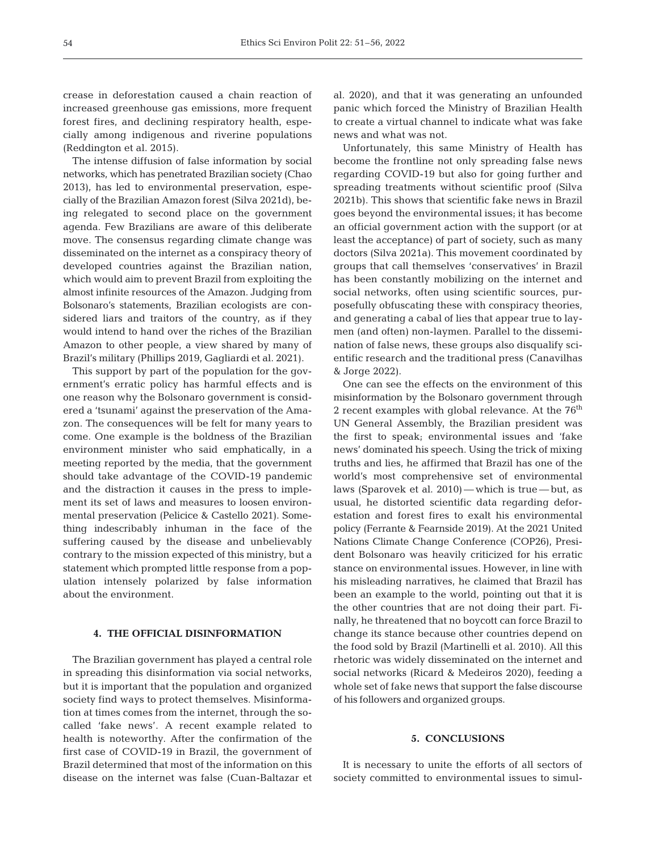crease in deforestation caused a chain reaction of increased greenhouse gas emissions, more frequent forest fires, and declining respiratory health, especially among indigenous and riverine populations (Reddington et al. 2015).

The intense diffusion of false information by social networks, which has penetrated Brazilian society (Chao 2013), has led to environmental preservation, especially of the Brazilian Amazon forest (Silva 2021d), being relegated to second place on the government agenda. Few Brazilians are aware of this deliberate move. The consensus regarding climate change was disseminated on the internet as a conspiracy theory of developed countries against the Brazilian nation, which would aim to prevent Brazil from exploiting the almost infinite resources of the Amazon. Judging from Bolsonaro's statements, Brazilian ecologists are considered liars and traitors of the country, as if they would intend to hand over the riches of the Brazilian Amazon to other people, a view shared by many of Brazil's military (Phillips 2019, Gagliardi et al. 2021).

This support by part of the population for the government's erratic policy has harmful effects and is one reason why the Bolsonaro government is considered a 'tsunami' against the preservation of the Amazon. The consequences will be felt for many years to come. One example is the boldness of the Brazilian environment minister who said emphatically, in a meeting reported by the media, that the government should take advantage of the COVID-19 pandemic and the distraction it causes in the press to implement its set of laws and measures to loosen environmental preservation (Pelicice & Castello 2021). Something indescribably inhuman in the face of the suffering caused by the disease and unbelievably contrary to the mission expected of this ministry, but a statement which prompted little response from a population intensely polarized by false information about the environment.

#### **4. THE OFFICIAL DISINFORMATION**

The Brazilian government has played a central role in spreading this disinformation via social networks, but it is important that the population and organized society find ways to protect themselves. Misinformation at times comes from the internet, through the socalled 'fake news'. A recent example related to health is noteworthy. After the confirmation of the first case of COVID-19 in Brazil, the government of Brazil determined that most of the information on this disease on the internet was false (Cuan-Baltazar et al. 2020), and that it was generating an unfounded panic which forced the Ministry of Brazilian Health to create a virtual channel to indicate what was fake news and what was not.

Unfortunately, this same Ministry of Health has become the frontline not only spreading false news regarding COVID-19 but also for going further and spreading treatments without scientific proof (Silva 2021b). This shows that scientific fake news in Brazil goes beyond the environmental issues; it has become an official government action with the support (or at least the acceptance) of part of society, such as many doctors (Silva 2021a). This movement coordinated by groups that call themselves 'conservatives' in Brazil has been constantly mobilizing on the internet and social networks, often using scientific sources, purposefully obfuscating these with conspiracy theories, and generating a cabal of lies that appear true to laymen (and often) non-laymen. Parallel to the dissemination of false news, these groups also disqualify scientific research and the traditional press (Canavilhas & Jorge 2022).

One can see the effects on the environment of this misinformation by the Bolsonaro government through 2 recent examples with global relevance. At the  $76<sup>th</sup>$ UN General Assembly, the Brazilian president was the first to speak; environmental issues and 'fake news' dominated his speech. Using the trick of mixing truths and lies, he affirmed that Brazil has one of the world's most comprehensive set of environmental laws (Sparovek et al. 2010) — which is true — but, as usual, he distorted scientific data regarding deforestation and forest fires to exalt his environmental policy (Ferrante & Fearnside 2019). At the 2021 United Nations Climate Change Conference (COP26), President Bolsonaro was heavily criticized for his erratic stance on environmental issues. However, in line with his misleading narratives, he claimed that Brazil has been an example to the world, pointing out that it is the other countries that are not doing their part. Finally, he threatened that no boycott can force Brazil to change its stance because other countries depend on the food sold by Brazil (Martinelli et al. 2010). All this rhetoric was widely disseminated on the internet and social networks (Ricard & Medeiros 2020), feeding a whole set of fake news that support the false discourse of his followers and organized groups.

#### **5. CONCLUSIONS**

It is necessary to unite the efforts of all sectors of society committed to environmental issues to simul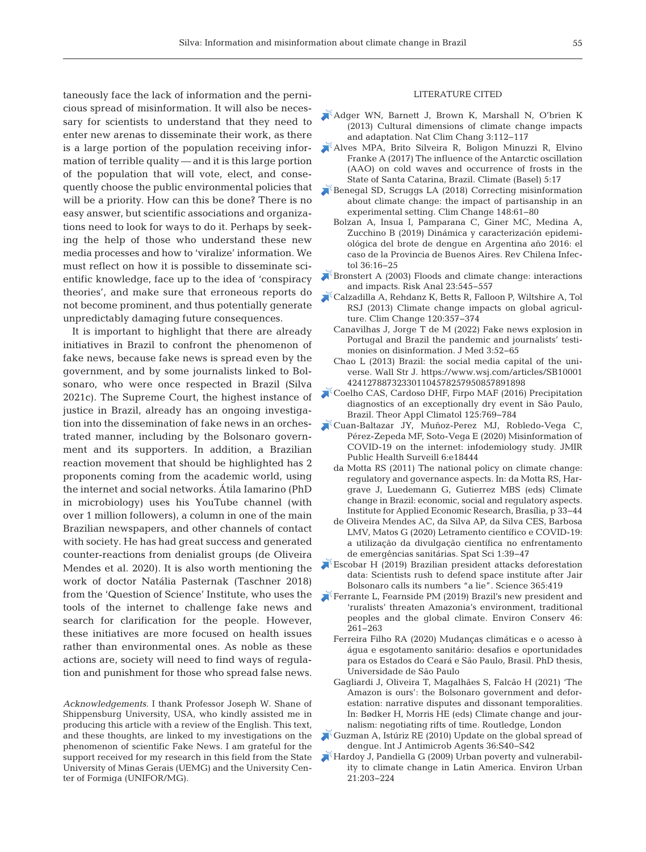taneously face the lack of information and the pernicious spread of misinformation. It will also be necessary for scientists to understand that they need to enter new arenas to disseminate their work, as there is a large portion of the population receiving information of terrible quality — and it is this large portion of the population that will vote, elect, and consequently choose the public environmental policies that will be a priority. How can this be done? There is no easy answer, but scientific associations and organizations need to look for ways to do it. Perhaps by seeking the help of those who understand these new media processes and how to 'viralize' information. We must reflect on how it is possible to disseminate scientific knowledge, face up to the idea of 'conspiracy theories', and make sure that erroneous reports do not become prominent, and thus potentially generate unpredictably damaging future consequences.

It is important to highlight that there are already initiatives in Brazil to confront the phenomenon of fake news, because fake news is spread even by the government, and by some journalists linked to Bolsonaro, who were once respected in Brazil (Silva 2021c). The Supreme Court, the highest instance of justice in Brazil, already has an ongoing investigation into the dissemination of fake news in an orchestrated manner, including by the Bolsonaro government and its supporters. In addition, a Brazilian reaction movement that should be highlighted has 2 proponents coming from the academic world, using the internet and social networks. Átila Iamarino (PhD in microbiology) uses his YouTube channel (with over 1 million followers), a column in one of the main Brazilian newspapers, and other channels of contact with society. He has had great success and generated counter-reactions from denialist groups (de Oliveira Mendes et al. 2020). It is also worth mentioning the work of doctor Natália Pasternak (Taschner 2018) from the 'Question of Science' Institute, who uses the tools of the internet to challenge fake news and search for clarification for the people. However, these initiatives are more focused on health issues rather than environmental ones. As noble as these actions are, society will need to find ways of regulation and punishment for those who spread false news.

*Acknowledgements*. I thank Professor Joseph W. Shane of Shippensburg University, USA, who kindly assisted me in producing this article with a review of the English. This text, and these thoughts, are linked to my investigations on the phenomenon of scientific Fake News. I am grateful for the support received for my research in this field from the State University of Minas Gerais (UEMG) and the University Center of Formiga (UNIFOR/MG).

#### LITERATURE CITED

- [Adger WN, Barnett J, Brown K, Marshall N, O'brien K](https://doi.org/10.1038/nclimate1666)  (2013) Cultural dimensions of climate change impacts and adaptation. Nat Clim Chang 3: 112−117
- [Alves MPA, Brito Silveira R, Boligon Minuzzi R, Elvino](https://doi.org/10.3390/cli5010017)  Franke A (2017) The influence of the Antarctic oscillation (AAO) on cold waves and occurrence of frosts in the State of Santa Catarina, Brazil. Climate (Basel) 5: 17
- [Benegal SD, Scruggs LA \(2018\) Correcting misinformation](https://doi.org/10.1007/s10584-018-2192-4)  about climate change: the impact of partisanship in an experimental setting. Clim Change 148:61-80
	- Bolzan A, Insua I, Pamparana C, Giner MC, Medina A, Zucchino B (2019) Dinámica y caracterización epidemiológica del brote de dengue en Argentina año 2016: el caso de la Provincia de Buenos Aires. Rev Chilena Infectol 36: 16−25
- $k$ Bronstert A (2003) Floods and climate change: interactions and impacts. Risk Anal 23:545–557
- [Calzadilla A, Rehdanz K, Betts R, Falloon P, Wiltshire A, Tol](https://doi.org/10.1007/s10584-013-0822-4)  RSJ (2013) Climate change impacts on global agriculture. Clim Change 120: 357−374
	- Canavilhas J, Jorge T de M (2022) Fake news explosion in Portugal and Brazil the pandemic and journalists' testimonies on disinformation. J Med 3:52–65
	- Chao L  $(2013)$  Brazil: the social media capital of the universe. Wall Str J. https://www.wsj.com/articles/SB10001 424127887323301104578257950857891898
- [Coelho CAS, Cardoso DHF, Firpo MAF \(2016\) Precipitation](https://doi.org/10.1007/s00704-015-1540-9)  diagnostics of an exceptionally dry event in São Paulo, Brazil. Theor Appl Climatol 125: 769−784
- [Cuan-Baltazar JY, Muñoz-Perez MJ, Robledo-Vega C,](https://doi.org/10.2196/18444)  Pérez-Zepeda MF, Soto-Vega E (2020) Misinformation of COVID-19 on the internet: infodemiology study. JMIR Public Health Surveill 6:e18444
	- da Motta RS (2011) The national policy on climate change: regulatory and governance aspects. In:da Motta RS, Hargrave J, Luedemann G, Gutierrez MBS (eds) Climate change in Brazil: economic, social and regulatory aspects. Institute for Applied Economic Research, Brasília, p 33−44
	- de Oliveira Mendes AC, da Silva AP, da Silva CES, Barbosa LMV, Matos G (2020) Letramento científico e COVID-19: a utilização da divulgação científica no enfrentamento de emergências sanitárias. Spat Sci 1: 39−47
- [Escobar H \(2019\) Brazilian president attacks deforestation](https://doi.org/10.1126/science.365.6452.419)  data: Scientists rush to defend space institute after Jair Bolsonaro calls its numbers "a lie". Science 365:419
- [Ferrante L, Fearnside PM \(2019\) Brazil's new president and](https://doi.org/10.1017/S0376892919000213)  'ruralists' threaten Amazonia's environment, traditional peoples and the global climate. Environ Conserv 46: 261−263
	- Ferreira Filho RA (2020) Mudanças climáticas e o acesso à água e esgotamento sanitário: desafios e oportunidades para os Estados do Ceará e São Paulo, Brasil. PhD thesis, Universidade de São Paulo
	- Gagliardi J, Oliveira T, Magalhães S, Falcão H (2021) 'The Amazon is ours': the Bolsonaro government and deforestation: narrative disputes and dissonant temporalities. In:Bødker H, Morris HE (eds) Climate change and journalism: negotiating rifts of time. Routledge, London
- [Guzman A, Istúriz RE \(2010\) Update on the global spread of](https://doi.org/10.1016/j.ijantimicag.2010.06.018)  dengue. Int J Antimicrob Agents 36: S40−S42
- [Hardoy J, Pandiella G \(2009\) Urban poverty and vulnerabil](https://doi.org/10.1177/0956247809103019)ity to climate change in Latin America. Environ Urban 21: 203−224